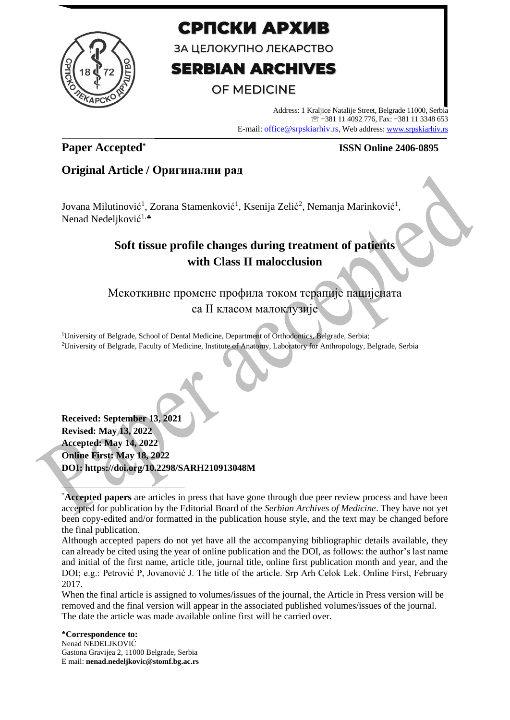

# СРПСКИ АРХИВ

ЗА ЦЕЛОКУПНО ЛЕКАРСТВО

# **SERBIAN ARCHIVES**

# **OF MEDICINE**

Address: 1 Kraljice Natalije Street, Belgrade 11000, Serbia +381 11 4092 776, Fax: +381 11 3348 653 E-mail: office@srpskiarhiv.rs, Web address[: www.srpskiarhiv.rs](http://www.srpskiarhiv.rs/)

# **Paper Accepted\***

### **ISSN Online 2406-0895**

# **Original Article / Оригинални рад**

Jovana Milutinović<sup>1</sup>, Zorana Stamenković<sup>1</sup>, Ksenija Zelić<sup>2</sup>, Nemanja Marinković<sup>1</sup>, Nenad Nedeljković<sup>1,</sup>\*

# **Soft tissue profile changes during treatment of patients with Class II malocclusion**

# Мекоткивне промене профила током терапије пацијената са II класом малоклузије

<sup>1</sup>University of Belgrade, School of Dental Medicine, Department of Orthodontics, Belgrade, Serbia; <sup>2</sup>University of Belgrade, Faculty of Medicine, Institute of Anatomy, Laboratory for Anthropology, Belgrade, Serbia

**Received: September 13, 2021 Revised: May 13, 2022 Accepted: May 14, 2022 Online First: May 18, 2022 DOI: https://doi.org/10.2298/SARH210913048M**

Although accepted papers do not yet have all the accompanying bibliographic details available, they can already be cited using the year of online publication and the DOI, as follows: the author's last name and initial of the first name, article title, journal title, online first publication month and year, and the DOI; e.g.: Petrović P, Jovanović J. The title of the article. Srp Arh Celok Lek. Online First, February 2017.

When the final article is assigned to volumes/issues of the journal, the Article in Press version will be removed and the final version will appear in the associated published volumes/issues of the journal. The date the article was made available online first will be carried over.

**Correspondence to:** Nenad NEDELJKOVIĆ Gastona Gravijea 2, 11000 Belgrade, Serbia E mail: **nenad.nedeljkovic@stomf.bg.ac.rs**

<sup>\*</sup>**Accepted papers** are articles in press that have gone through due peer review process and have been accepted for publication by the Editorial Board of the *Serbian Archives of Medicine*. They have not yet been copy-edited and/or formatted in the publication house style, and the text may be changed before the final publication.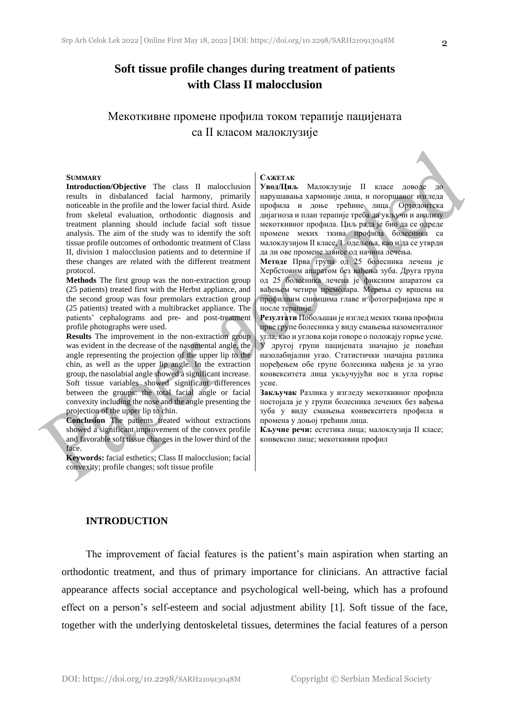## **Soft tissue profile changes during treatment of patients with Class II malocclusion**

## Мекоткивне промене профила током терапије пацијената са II класом малоклузије

#### **SUMMARY**

**Introduction/Objective** The class II malocclusion results in disbalanced facial harmony, primarily noticeable in the profile and the lower facial third. Aside from skeletal evaluation, orthodontic diagnosis and treatment planning should include facial soft tissue analysis. The aim of the study was to identify the soft tissue profile outcomes of orthodontic treatment of Class II, division 1 malocclusion patients and to determine if these changes are related with the different treatment protocol.

**Methods** The first group was the non-extraction group (25 patients) treated first with the Herbst appliance, and the second group was four premolars extraction group (25 patients) treated with a multibracket appliance. The patients' cephalograms and pre- and post-treatment profile photographs were used.

**Results** The improvement in the non-extraction group was evident in the decrease of the nasomental angle, the angle representing the projection of the upper lip to the chin, as well as the upper lip angle. In the extraction group, the nasolabial angle showed a significant increase. Soft tissue variables showed significant differences between the groups: the total facial angle or facial convexity including the nose and the angle presenting the projection of the upper lip to chin.

**Conclusion** The patients treated without extractions showed a significant improvement of the convex profile and favorable soft tissue changes in the lower third of the face.

**Keywords:** facial esthetics; Class II malocclusion; facial convexity; profile changes; soft tissue profile

#### **САЖЕТАК**

**Увод/Циљ** Малоклузије II класе доводе до нарушавања хармоније лица, и погоршаног изгледа профила и доње трећине лица. Oртодонтска дијагноза и план терапије треба да укључи и анализу мекоткивног профила. Циљ рада је био да се одреде промене меких ткива профила болесника са малоклузијом II класе, 1. одељења, као и да се утврди да ли ове промене зависе од начина лечења.

**Методе** Прва група од 25 болесника лечена је Хербстовим апаратом без вађења зуба. Друга група од 25 болесника лечена је фиксним апаратом са вађењем четири премолара. Мерења су вршена на профилним снимцима главе и фотографијама пре и после терапије.

**Резултати** Побољшан је изглед меких ткива профила прве групе болесника у виду смањења назоменталног угла, као и углова који говоре о положају горње усне. У другој групи пацијената значајно је повећан назолабијални угао. Статистички значајна разлика поређењем обе групе болесника нађена је за угао конвекситета лица укључујући нос и угла горње усне.

**Закључак** Разлика у изгледу мекоткивног профила постојала је у групи болесника лечених без вађења зуба у виду смањења конвекситета профила и промена у доњој трећини лица.

**Кључне речи:** естетика лица; малоклузија II класе; конвексно лице; мекоткивни профил

#### **INTRODUCTION**

The improvement of facial features is the patient's main aspiration when starting an orthodontic treatment, and thus of primary importance for clinicians. An attractive facial appearance affects social acceptance and psychological well-being, which has a profound effect on a person's self-esteem and social adjustment ability [1]. Soft tissue of the face, together with the underlying dentoskeletal tissues, determines the facial features of a person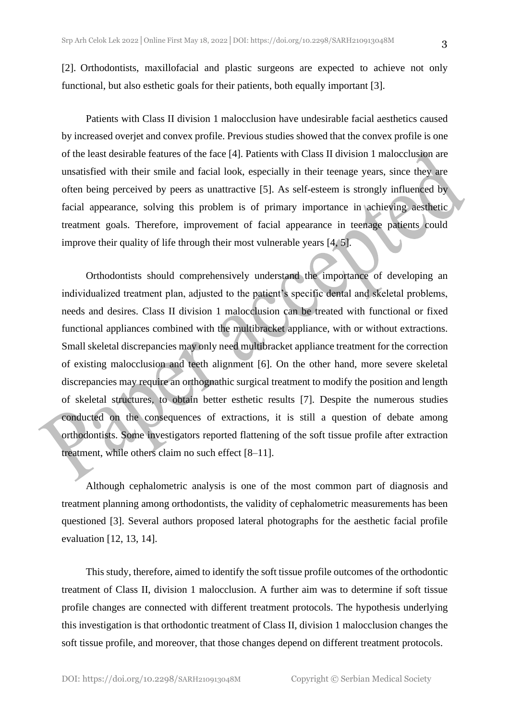[2]. Orthodontists, maxillofacial and plastic surgeons are expected to achieve not only functional, but also esthetic goals for their patients, both equally important [3].

Patients with Class II division 1 malocclusion have undesirable facial aesthetics caused by increased overjet and convex profile. Previous studies showed that the convex profile is one of the least desirable features of the face [4]. Patients with Class II division 1 malocclusion are unsatisfied with their smile and facial look, especially in their teenage years, since they are often being perceived by peers as unattractive [5]. As self-esteem is strongly influenced by facial appearance, solving this problem is of primary importance in achieving aesthetic treatment goals. Therefore, improvement of facial appearance in teenage patients could improve their quality of life through their most vulnerable years [4, 5].

Orthodontists should comprehensively understand the importance of developing an individualized treatment plan, adjusted to the patient's specific dental and skeletal problems, needs and desires. Class II division 1 malocclusion can be treated with functional or fixed functional appliances combined with the multibracket appliance, with or without extractions. Small skeletal discrepancies may only need multibracket appliance treatment for the correction of existing malocclusion and teeth alignment [6]. On the other hand, more severe skeletal discrepancies may require an orthognathic surgical treatment to modify the position and length of skeletal structures, to obtain better esthetic results [7]. Despite the numerous studies conducted on the consequences of extractions, it is still a question of debate among orthodontists. Some investigators reported flattening of the soft tissue profile after extraction treatment, while others claim no such effect [8–11].

Although cephalometric analysis is one of the most common part of diagnosis and treatment planning among orthodontists, the validity of cephalometric measurements has been questioned [3]. Several authors proposed lateral photographs for the aesthetic facial profile evaluation [12, 13, 14].

This study, therefore, aimed to identify the soft tissue profile outcomes of the orthodontic treatment of Class II, division 1 malocclusion. A further aim was to determine if soft tissue profile changes are connected with different treatment protocols. The hypothesis underlying this investigation is that orthodontic treatment of Class II, division 1 malocclusion changes the soft tissue profile, and moreover, that those changes depend on different treatment protocols.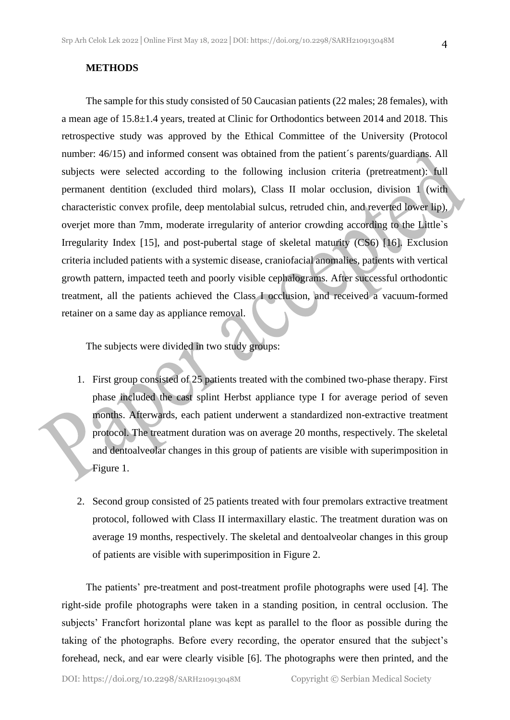#### **METHODS**

The sample for this study consisted of 50 Caucasian patients (22 males; 28 females), with a mean age of 15.8±1.4 years, treated at Clinic for Orthodontics between 2014 and 2018. This retrospective study was approved by the Ethical Committee of the University (Protocol number: 46/15) and informed consent was obtained from the patient's parents/guardians. All subjects were selected according to the following inclusion criteria (pretreatment): full permanent dentition (excluded third molars), Class II molar occlusion, division 1 (with characteristic convex profile, deep mentolabial sulcus, retruded chin, and reverted lower lip), overjet more than 7mm, moderate irregularity of anterior crowding according to the Little`s Irregularity Index [15], and post-pubertal stage of skeletal maturity (CS6) [16]. Exclusion criteria included patients with a systemic disease, craniofacial anomalies, patients with vertical growth pattern, impacted teeth and poorly visible cephalograms. After successful orthodontic treatment, all the patients achieved the Class I occlusion, and received a vacuum-formed retainer on a same day as appliance removal.

The subjects were divided in two study groups:

- 1. First group consisted of 25 patients treated with the combined two-phase therapy. First phase included the cast splint Herbst appliance type I for average period of seven months. Afterwards, each patient underwent a standardized non-extractive treatment protocol. The treatment duration was on average 20 months, respectively. The skeletal and dentoalveolar changes in this group of patients are visible with superimposition in Figure 1.
- 2. Second group consisted of 25 patients treated with four premolars extractive treatment protocol, followed with Class II intermaxillary elastic. The treatment duration was on average 19 months, respectively. The skeletal and dentoalveolar changes in this group of patients are visible with superimposition in Figure 2.

The patients' pre-treatment and post-treatment profile photographs were used [4]. The right-side profile photographs were taken in a standing position, in central occlusion. The subjects' Francfort horizontal plane was kept as parallel to the floor as possible during the taking of the photographs. Before every recording, the operator ensured that the subject's forehead, neck, and ear were clearly visible [6]. The photographs were then printed, and the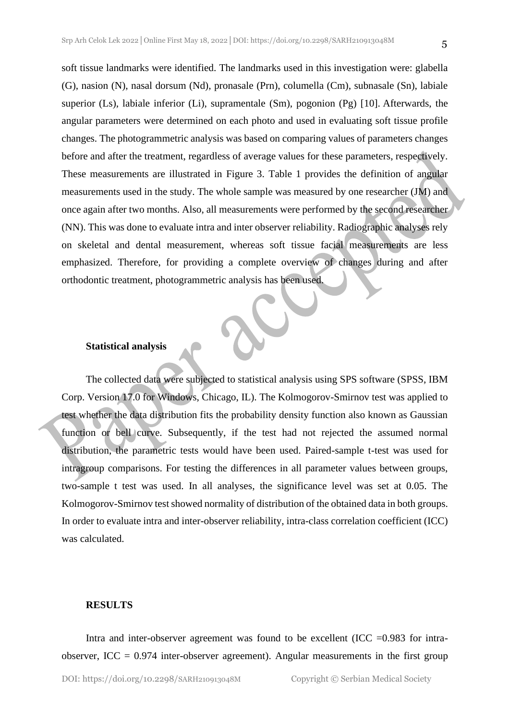soft tissue landmarks were identified. The landmarks used in this investigation were: glabella (G), nasion (N), nasal dorsum (Nd), pronasale (Prn), columella (Cm), subnasale (Sn), labiale superior (Ls), labiale inferior (Li), supramentale (Sm), pogonion (Pg) [10]. Afterwards, the angular parameters were determined on each photo and used in evaluating soft tissue profile changes. The photogrammetric analysis was based on comparing values of parameters changes before and after the treatment, regardless of average values for these parameters, respectively. These measurements are illustrated in Figure 3. Table 1 provides the definition of angular measurements used in the study. The whole sample was measured by one researcher (JM) and once again after two months. Also, all measurements were performed by the second researcher (NN). This was done to evaluate intra and inter observer reliability. Radiographic analyses rely on skeletal and dental measurement, whereas soft tissue facial measurements are less emphasized. Therefore, for providing a complete overview of changes during and after orthodontic treatment, photogrammetric analysis has been used.

#### **Statistical analysis**

The collected data were subjected to statistical analysis using SPS software (SPSS, IBM Corp. Version 17.0 for Windows, Chicago, IL). The Kolmogorov-Smirnov test was applied to test whether the data distribution fits the probability density function also known as Gaussian function or bell curve. Subsequently, if the test had not rejected the assumed normal distribution, the parametric tests would have been used. Paired-sample t-test was used for intragroup comparisons. For testing the differences in all parameter values between groups, two-sample t test was used. In all analyses, the significance level was set at 0.05. The Kolmogorov-Smirnov test showed normality of distribution of the obtained data in both groups. In order to evaluate intra and inter-observer reliability, intra-class correlation coefficient (ICC) was calculated.

#### **RESULTS**

Intra and inter-observer agreement was found to be excellent (ICC  $=0.983$  for intraobserver, ICC  $= 0.974$  inter-observer agreement). Angular measurements in the first group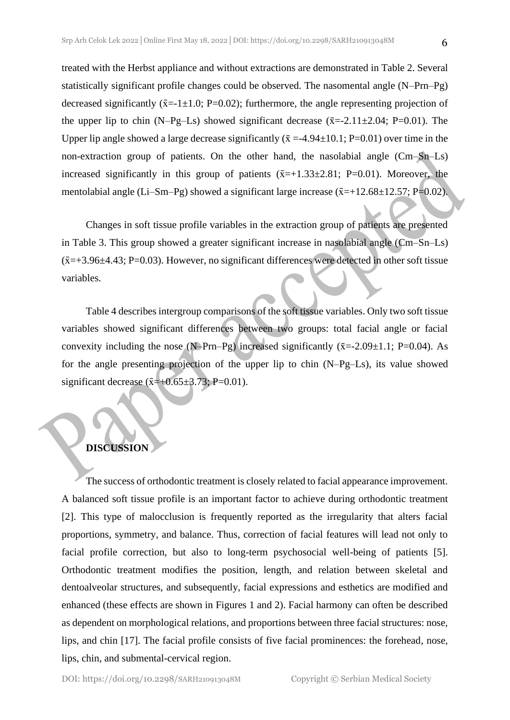treated with the Herbst appliance and without extractions are demonstrated in Table 2. Several statistically significant profile changes could be observed. The nasomental angle (N–Prn–Pg) decreased significantly ( $\bar{x}$ =-1±1.0; P=0.02); furthermore, the angle representing projection of the upper lip to chin (N–Pg–Ls) showed significant decrease  $(\bar{x}=2.11\pm2.04; P=0.01)$ . The Upper lip angle showed a large decrease significantly  $(\bar{x} = -4.94 \pm 10.1; P = 0.01)$  over time in the non-extraction group of patients. On the other hand, the nasolabial angle (Cm–Sn–Ls) increased significantly in this group of patients  $(\bar{x}=+1.33\pm 2.81; \bar{P}=0.01)$ . Moreover, the mentolabial angle (Li–Sm–Pg) showed a significant large increase ( $\bar{x}$ =+12.68±12.57; P=0.02).

Changes in soft tissue profile variables in the extraction group of patients are presented in Table 3. This group showed a greater significant increase in nasolabial angle (Cm–Sn–Ls)  $(\bar{x}=+3.96\pm4.43; P=0.03)$ . However, no significant differences were detected in other soft tissue variables.

Table 4 describes intergroup comparisons of the soft tissue variables. Only two soft tissue variables showed significant differences between two groups: total facial angle or facial convexity including the nose (N–Prn–Pg) increased significantly  $(\bar{x}=2.09\pm1.1; P=0.04)$ . As for the angle presenting projection of the upper lip to chin (N–Pg–Ls), its value showed significant decrease ( $\bar{x}$ =+0.65±3.73; P=0.01).

### **DISCUSSION**

The success of orthodontic treatment is closely related to facial appearance improvement. A balanced soft tissue profile is an important factor to achieve during orthodontic treatment [2]. This type of malocclusion is frequently reported as the irregularity that alters facial proportions, symmetry, and balance. Thus, correction of facial features will lead not only to facial profile correction, but also to long-term psychosocial well-being of patients [5]. Orthodontic treatment modifies the position, length, and relation between skeletal and dentoalveolar structures, and subsequently, facial expressions and esthetics are modified and enhanced (these effects are shown in Figures 1 and 2). Facial harmony can often be described as dependent on morphological relations, and proportions between three facial structures: nose, lips, and chin [17]. The facial profile consists of five facial prominences: the forehead, nose, lips, chin, and submental-cervical region.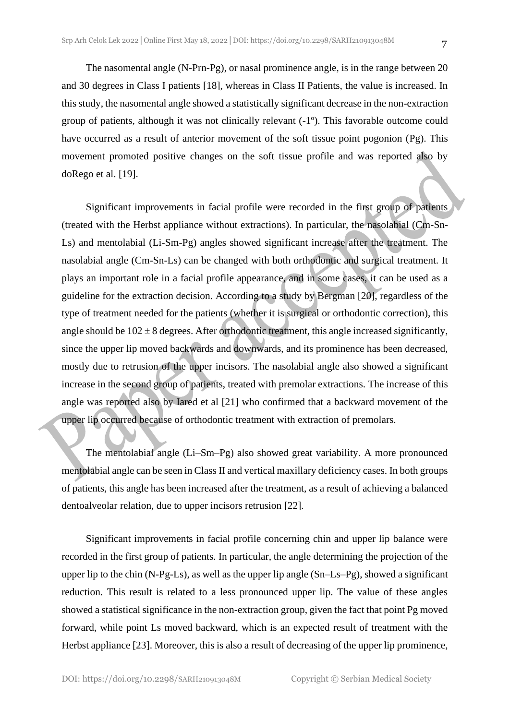The nasomental angle (N-Prn-Pg), or nasal prominence angle, is in the range between 20 and 30 degrees in Class I patients [18], whereas in Class II Patients, the value is increased. In this study, the nasomental angle showed a statistically significant decrease in the non-extraction group of patients, although it was not clinically relevant (-1º). This favorable outcome could have occurred as a result of anterior movement of the soft tissue point pogonion (Pg). This movement promoted positive changes on the soft tissue profile and was reported also by doRego et al. [19].

Significant improvements in facial profile were recorded in the first group of patients (treated with the Herbst appliance without extractions). In particular, the nasolabial (Cm-Sn-Ls) and mentolabial (Li-Sm-Pg) angles showed significant increase after the treatment. The nasolabial angle (Cm-Sn-Ls) can be changed with both orthodontic and surgical treatment. It plays an important role in a facial profile appearance, and in some cases, it can be used as a guideline for the extraction decision. According to a study by Bergman [20], regardless of the type of treatment needed for the patients (whether it is surgical or orthodontic correction), this angle should be  $102 \pm 8$  degrees. After orthodontic treatment, this angle increased significantly, since the upper lip moved backwards and downwards, and its prominence has been decreased, mostly due to retrusion of the upper incisors. The nasolabial angle also showed a significant increase in the second group of patients, treated with premolar extractions. The increase of this angle was reported also by Iared et al [21] who confirmed that a backward movement of the upper lip occurred because of orthodontic treatment with extraction of premolars.

The mentolabial angle (Li–Sm–Pg) also showed great variability. A more pronounced mentolabial angle can be seen in Class II and vertical maxillary deficiency cases. In both groups of patients, this angle has been increased after the treatment, as a result of achieving a balanced dentoalveolar relation, due to upper incisors retrusion [22].

Significant improvements in facial profile concerning chin and upper lip balance were recorded in the first group of patients. In particular, the angle determining the projection of the upper lip to the chin (N-Pg-Ls), as well as the upper lip angle (Sn–Ls–Pg), showed a significant reduction. This result is related to a less pronounced upper lip. The value of these angles showed a statistical significance in the non-extraction group, given the fact that point Pg moved forward, while point Ls moved backward, which is an expected result of treatment with the Herbst appliance [23]. Moreover, this is also a result of decreasing of the upper lip prominence,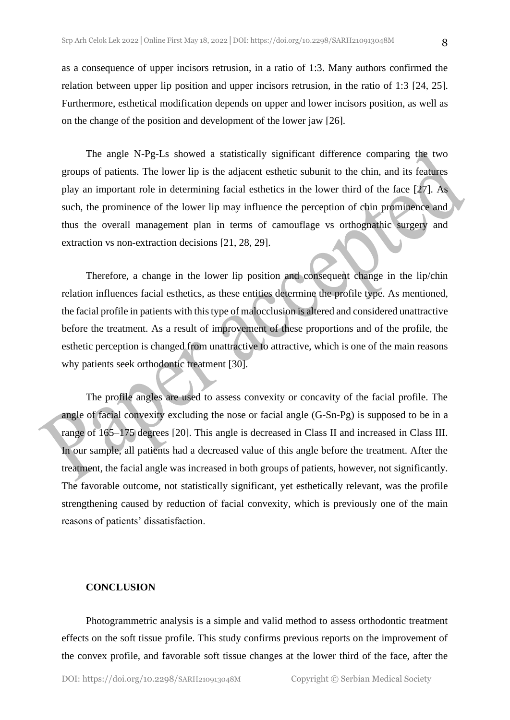as a consequence of upper incisors retrusion, in a ratio of 1:3. Many authors confirmed the relation between upper lip position and upper incisors retrusion, in the ratio of 1:3 [24, 25]. Furthermore, esthetical modification depends on upper and lower incisors position, as well as on the change of the position and development of the lower jaw [26].

The angle N-Pg-Ls showed a statistically significant difference comparing the two groups of patients. The lower lip is the adjacent esthetic subunit to the chin, and its features play an important role in determining facial esthetics in the lower third of the face [27]. As such, the prominence of the lower lip may influence the perception of chin prominence and thus the overall management plan in terms of camouflage vs orthognathic surgery and extraction vs non-extraction decisions [21, 28, 29].

Therefore, a change in the lower lip position and consequent change in the lip/chin relation influences facial esthetics, as these entities determine the profile type. As mentioned, the facial profile in patients with this type of malocclusion is altered and considered unattractive before the treatment. As a result of improvement of these proportions and of the profile, the esthetic perception is changed from unattractive to attractive, which is one of the main reasons why patients seek orthodontic treatment [30].

The profile angles are used to assess convexity or concavity of the facial profile. The angle of facial convexity excluding the nose or facial angle (G-Sn-Pg) is supposed to be in a range of 165–175 degrees [20]. This angle is decreased in Class II and increased in Class III. In our sample, all patients had a decreased value of this angle before the treatment. After the treatment, the facial angle was increased in both groups of patients, however, not significantly. The favorable outcome, not statistically significant, yet esthetically relevant, was the profile strengthening caused by reduction of facial convexity, which is previously one of the main reasons of patients' dissatisfaction.

#### **CONCLUSION**

Photogrammetric analysis is a simple and valid method to assess orthodontic treatment effects on the soft tissue profile. This study confirms previous reports on the improvement of the convex profile, and favorable soft tissue changes at the lower third of the face, after the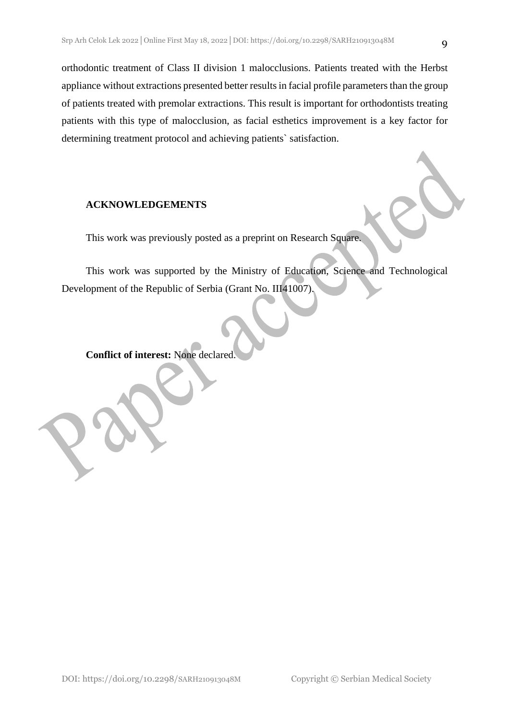orthodontic treatment of Class II division 1 malocclusions. Patients treated with the Herbst appliance without extractions presented better results in facial profile parameters than the group of patients treated with premolar extractions. This result is important for orthodontists treating patients with this type of malocclusion, as facial esthetics improvement is a key factor for determining treatment protocol and achieving patients` satisfaction.

#### **ACKNOWLEDGEMENTS**

This work was previously posted as a preprint on Research Square.

This work was supported by the Ministry of Education, Science and Technological Development of the Republic of Serbia (Grant No. III41007).

**Conflict of interest:** None declared.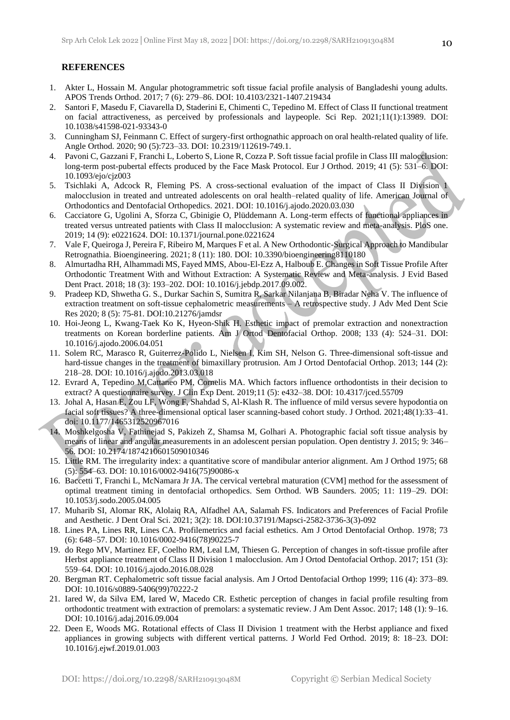#### **REFERENCES**

- 1. Akter L, Hossain M. Angular photogrammetric soft tissue facial profile analysis of Bangladeshi young adults. APOS Trends Orthod. 2017; 7 (6): 279–86. DOI: 10.4103/2321-1407.219434
- 2. Santori F, Masedu F, Ciavarella D, Staderini E, Chimenti C, Tepedino M. Effect of Class II functional treatment on facial attractiveness, as perceived by professionals and laypeople. Sci Rep. 2021;11(1):13989. DOI: 10.1038/s41598-021-93343-0
- 3. Cunningham SJ, Feinmann C. Effect of surgery-first orthognathic approach on oral health-related quality of life. Angle Orthod. 2020; 90 (5):723–33. DOI: 10.2319/112619-749.1.
- 4. Pavoni C, Gazzani F, Franchi L, Loberto S, Lione R, Cozza P. Soft tissue facial profile in Class III malocclusion: long-term post-pubertal effects produced by the Face Mask Protocol. Eur J Orthod. 2019; 41 (5): 531–6. DOI: 10.1093/ejo/cjz003
- 5. Tsichlaki A, Adcock R, Fleming PS. A cross-sectional evaluation of the impact of Class II Division 1 malocclusion in treated and untreated adolescents on oral health–related quality of life. American Journal of Orthodontics and Dentofacial Orthopedics. 2021. DOI: 10.1016/j.ajodo.2020.03.030
- 6. Cacciatore G, Ugolini A, Sforza C, Gbinigie O, Plüddemann A. Long-term effects of functional appliances in treated versus untreated patients with Class II malocclusion: A systematic review and meta-analysis. PloS one. 2019; 14 (9): e0221624. DOI: 10.1371/journal.pone.0221624
- 7. Vale F, Queiroga J, Pereira F, Ribeiro M, Marques F et al. A New Orthodontic-Surgical Approach to Mandibular Retrognathia. Bioengineering. 2021; 8 (11): 180. DOI: 10.3390/bioengineering8110180
- 8. Almurtadha RH, Alhammadi MS, Fayed MMS, Abou-El-Ezz A, Halboub E. Changes in Soft Tissue Profile After Orthodontic Treatment With and Without Extraction: A Systematic Review and Meta-analysis. J Evid Based Dent Pract. 2018; 18 (3): 193–202. DOI: 10.1016/j.jebdp.2017.09.002.
- 9. Pradeep KD, Shwetha G. S., Durkar Sachin S, Sumitra R, Sarkar Nilanjana B, Biradar Neha V. The influence of extraction treatment on soft-tissue cephalometric measurements – A retrospective study. J Adv Med Dent Scie Res 2020; 8 (5): 75-81. DOI:10.21276/jamdsr
- 10. Hoi-Jeong L, Kwang-Taek Ko K, Hyeon-Shik H. Esthetic impact of premolar extraction and nonextraction treatments on Korean borderline patients. Am J Ortod Dentofacial Orthop. 2008; 133 (4): 524–31. DOI: 10.1016/j.ajodo.2006.04.051
- 11. Solem RC, Marasco R, Guiterrez-Polido L, Nielsen I, Kim SH, Nelson G. Three-dimensional soft-tissue and hard-tissue changes in the treatment of bimaxillary protrusion. Am J Ortod Dentofacial Orthop. 2013; 144 (2): 218–28. DOI: 10.1016/j.ajodo.2013.03.018
- 12. Evrard A, Tepedino M,Cattaneo PM, Cornelis MA. Which factors influence orthodontists in their decision to extract? A questionnaire survey. J Clin Exp Dent. 2019;11 (5): e432–38. DOI: 10.4317/jced.55709
- 13. Johal A, Hasan E, Zou LF, Wong F, Shahdad S, Al-Klash R. The influence of mild versus severe hypodontia on facial soft tissues? A three-dimensional optical laser scanning-based cohort study. J Orthod. 2021;48(1):33–41. doi: 10.1177/1465312520967016
- 14. Moshkelgosha V, Fathinejad S, Pakizeh Z, Shamsa M, Golhari A. Photographic facial soft tissue analysis by means of linear and angular measurements in an adolescent persian population. Open dentistry J. 2015; 9: 346– 56. DOI: 10.2174/1874210601509010346
- 15. Little RM. The irregularity index: a quantitative score of mandibular anterior alignment. Am J Orthod 1975; 68 (5): 554–63. DOI: 10.1016/0002-9416(75)90086-x
- 16. Baccetti T, Franchi L, McNamara Jr JA. The cervical vertebral maturation (CVM] method for the assessment of optimal treatment timing in dentofacial orthopedics. Sem Orthod. WB Saunders. 2005; 11: 119–29. DOI: 10.1053/j.sodo.2005.04.005
- 17. Muharib SI, Alomar RK, Alolaiq RA, Alfadhel AA, Salamah FS. Indicators and Preferences of Facial Profile and Aesthetic. J Dent Oral Sci. 2021; 3(2): 18. DOI:10.37191/Mapsci-2582-3736-3(3)-092
- 18. Lines PA, Lines RR, Lines CA. Profilemetrics and facial esthetics. Am J Ortod Dentofacial Orthop. 1978; 73 (6): 648–57. DOI: 10.1016/0002-9416(78)90225-7
- 19. do Rego MV, Martinez EF, Coelho RM, Leal LM, Thiesen G. Perception of changes in soft-tissue profile after Herbst appliance treatment of Class II Division 1 malocclusion. Am J Ortod Dentofacial Orthop. 2017; 151 (3): 559–64. DOI: 10.1016/j.ajodo.2016.08.028
- 20. Bergman RT. Cephalometric soft tissue facial analysis. Am J Ortod Dentofacial Orthop 1999; 116 (4): 373–89. DOI: 10.1016/s0889-5406(99)70222-2
- 21. Iared W, da Silva EM, Iared W, Macedo CR. Esthetic perception of changes in facial profile resulting from orthodontic treatment with extraction of premolars: a systematic review. J Am Dent Assoc. 2017; 148 (1): 9–16. DOI: 10.1016/j.adaj.2016.09.004
- 22. Deen E, Woods MG. Rotational effects of Class II Division 1 treatment with the Herbst appliance and fixed appliances in growing subjects with different vertical patterns. J World Fed Orthod. 2019; 8: 18–23. DOI: 10.1016/j.ejwf.2019.01.003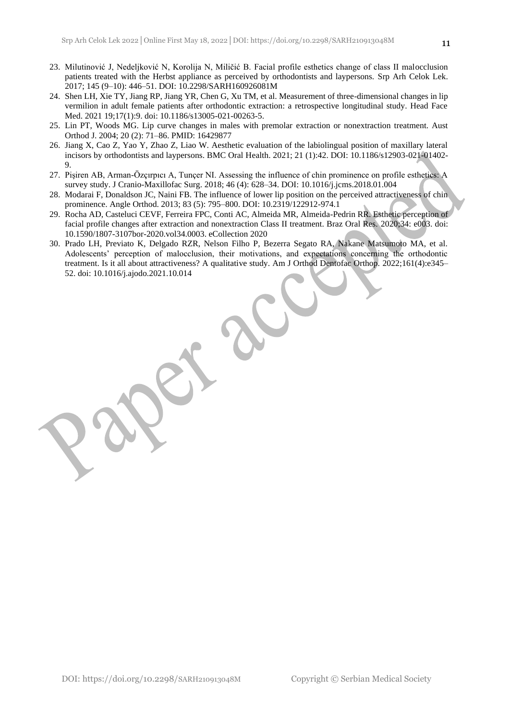- 23. Milutinović J, Nedeljković N, Korolija N, Miličić B. Facial profile esthetics change of class II malocclusion patients treated with the Herbst appliance as perceived by orthodontists and laypersons. Srp Arh Celok Lek. 2017; 145 (9–10): 446–51. DOI: 10.2298/SARH160926081M
- 24. Shen LH, Xie TY, Jiang RP, Jiang YR, Chen G, Xu TM, et al. Measurement of three-dimensional changes in lip vermilion in adult female patients after orthodontic extraction: a retrospective longitudinal study. Head Face Med. 2021 19;17(1):9. doi: 10.1186/s13005-021-00263-5.
- 25. Lin PT, Woods MG. Lip curve changes in males with premolar extraction or nonextraction treatment. Aust Orthod J. 2004; 20 (2): 71–86. PMID: 16429877
- 26. Jiang X, Cao Z, Yao Y, Zhao Z, Liao W. Aesthetic evaluation of the labiolingual position of maxillary lateral incisors by orthodontists and laypersons. BMC Oral Health. 2021; 21 (1):42. DOI: 10.1186/s12903-021-01402- 9.
- 27. Pişiren AB, Arman-Özçırpıcı A, Tunçer NI. Assessing the influence of chin prominence on profile esthetics: A survey study. J Cranio-Maxillofac Surg. 2018; 46 (4): 628–34. DOI: 10.1016/j.jcms.2018.01.004
- 28. Modarai F, Donaldson JC, Naini FB. The influence of lower lip position on the perceived attractiveness of chin prominence. Angle Orthod. 2013; 83 (5): 795–800. DOI: 10.2319/122912-974.1
- 29. Rocha AD, Casteluci CEVF, Ferreira FPC, Conti AC, Almeida MR, Almeida-Pedrin RR. Esthetic perception of facial profile changes after extraction and nonextraction Class II treatment. Braz Oral Res. 2020;34: e003. doi: 10.1590/1807-3107bor-2020.vol34.0003. eCollection 2020
- 30. Prado LH, Previato K, Delgado RZR, Nelson Filho P, Bezerra Segato RA, Nakane Matsumoto MA, et al. Adolescents' perception of malocclusion, their motivations, and expectations concerning the orthodontic treatment. Is it all about attractiveness? A qualitative study. Am J Orthod Dentofac Orthop. 2022;161(4):e345– 52. doi: 10.1016/j.ajodo.2021.10.014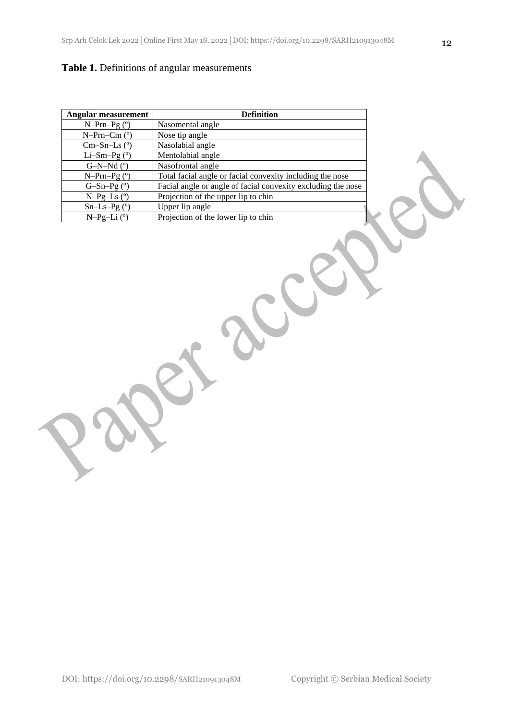### **Table 1.** Definitions of angular measurements

| <b>Angular measurement</b> | <b>Definition</b>                                            |
|----------------------------|--------------------------------------------------------------|
| $N-Prn-Pg (°)$             | Nasomental angle                                             |
| $N-Prn-Cmo$                | Nose tip angle                                               |
| $Cm-Sn-Ls$ ( $\degree$ )   | Nasolabial angle                                             |
| Li-Sm-Pg $(°)$             | Mentolabial angle                                            |
| $G-N-Md$ ( $\degree$ )     | Nasofrontal angle                                            |
| $N-Prn-Pg (°)$             | Total facial angle or facial convexity including the nose    |
| $G-Sn-Pg$ ( $\degree$ )    | Facial angle or angle of facial convexity excluding the nose |
| $N-Pg-Ls$ ( $\degree$ )    | Projection of the upper lip to chin                          |
| $Sn-Ls-Pg$ ( $°$ )         | Upper lip angle                                              |
| $N-Pg-Li$ ( $\degree$ )    | Projection of the lower lip to chin                          |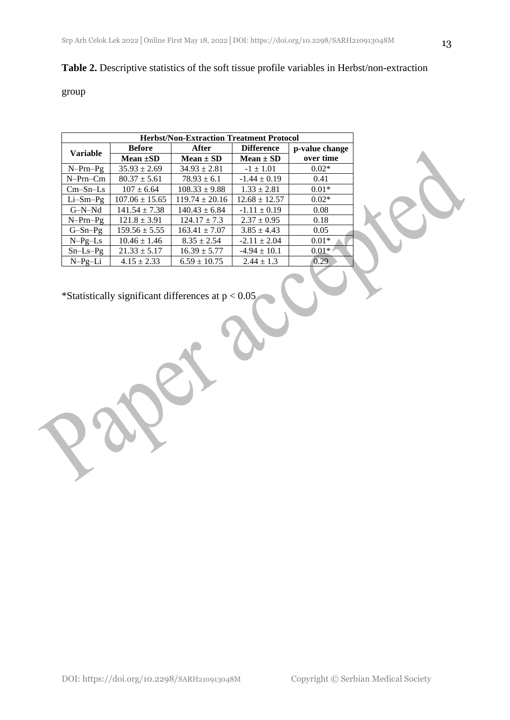# **Table 2.** Descriptive statistics of the soft tissue profile variables in Herbst/non-extraction

### group

| <b>Herbst/Non-Extraction Treatment Protocol</b> |                    |                    |                   |                |  |  |
|-------------------------------------------------|--------------------|--------------------|-------------------|----------------|--|--|
| <b>Variable</b>                                 | <b>Before</b>      | After              | <b>Difference</b> | p-value change |  |  |
|                                                 | Mean $\pm SD$      | $Mean \pm SD$      | $Mean \pm SD$     | over time      |  |  |
| $N-Prn-Pg$                                      | $35.93 \pm 2.69$   | $34.93 \pm 2.81$   | $-1 \pm 1.01$     | $0.02*$        |  |  |
| $N-Prn-Cm$                                      | $80.37 \pm 5.61$   | $78.93 \pm 6.1$    | $-1.44 \pm 0.19$  | 0.41           |  |  |
| $Cm-Sn-Ls$                                      | $107 \pm 6.64$     | $108.33 \pm 9.88$  | $1.33 \pm 2.81$   | $0.01*$        |  |  |
| $Li-Sm-Pg$                                      | $107.06 \pm 15.65$ | $119.74 \pm 20.16$ | $12.68 \pm 12.57$ | $0.02*$        |  |  |
| $G-N-Nd$                                        | $141.54 \pm 7.38$  | $140.43 \pm 6.84$  | $-1.11 \pm 0.19$  | 0.08           |  |  |
| $N-Prn-Pg$                                      | $121.8 \pm 3.91$   | $124.17 \pm 7.3$   | $2.37 \pm 0.95$   | 0.18           |  |  |
| $G-Sn-Pg$                                       | $159.56 \pm 5.55$  | $163.41 \pm 7.07$  | $3.85 \pm 4.43$   | 0.05           |  |  |
| $N-Pg-Ls$                                       | $10.46 \pm 1.46$   | $8.35 \pm 2.54$    | $-2.11 \pm 2.04$  | $0.01*$        |  |  |
| $Sn-Ls-Pg$                                      | $21.33 \pm 5.17$   | $16.39 \pm 5.77$   | $-4.94 \pm 10.1$  | $0.01**$       |  |  |
| $N-Pg-Li$                                       | $4.15 \pm 2.33$    | $6.59 \pm 10.75$   | $2.44 \pm 1.3$    | 0.29           |  |  |

\*Statistically significant differences at  $p < 0.05$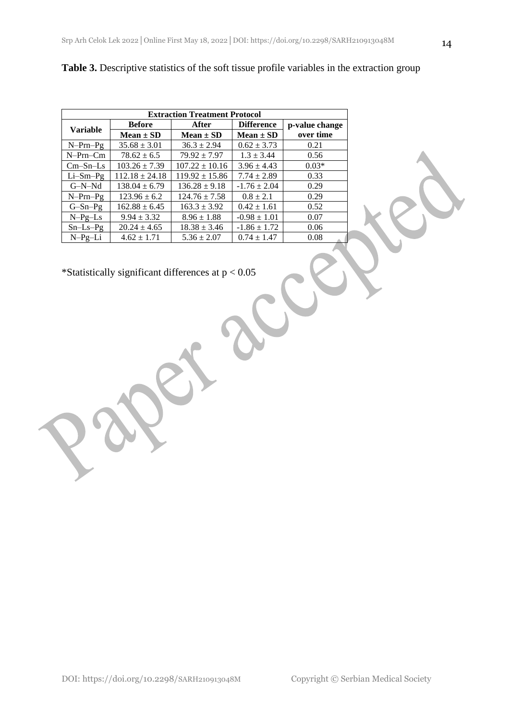| <b>Extraction Treatment Protocol</b> |                    |                    |                   |                |  |  |
|--------------------------------------|--------------------|--------------------|-------------------|----------------|--|--|
| <b>Variable</b>                      | <b>Before</b>      | After              | <b>Difference</b> | p-value change |  |  |
|                                      | $Mean \pm SD$      | $Mean \pm SD$      | Mean $\pm$ SD     | over time      |  |  |
| $N-Prn-Pg$                           | $35.68 \pm 3.01$   | $36.3 \pm 2.94$    | $0.62 \pm 3.73$   | 0.21           |  |  |
| $N-Prn-Cm$                           | $78.62 \pm 6.5$    | $79.92 \pm 7.97$   | $1.3 \pm 3.44$    | 0.56           |  |  |
| $Cm-Sn-Ls$                           | $103.26 \pm 7.39$  | $107.22 \pm 10.16$ | $3.96 \pm 4.43$   | $0.03*$        |  |  |
| $Li-Sm-Pg$                           | $112.18 \pm 24.18$ | $119.92 \pm 15.86$ | $7.74 \pm 2.89$   | 0.33           |  |  |
| $G-N-Nd$                             | $138.04 \pm 6.79$  | $136.28 \pm 9.18$  | $-1.76 \pm 2.04$  | 0.29           |  |  |
| $N-Prn-Pg$                           | $123.96 \pm 6.2$   | $124.76 \pm 7.58$  | $0.8 \pm 2.1$     | 0.29           |  |  |
| $G-Sn-Pg$                            | $162.88 \pm 6.45$  | $163.3 \pm 3.92$   | $0.42 \pm 1.61$   | 0.52           |  |  |
| $N-Pg-Ls$                            | $9.94 \pm 3.32$    | $8.96 \pm 1.88$    | $-0.98 \pm 1.01$  | 0.07           |  |  |
| $Sn-Ls-Pg$                           | $20.24 \pm 4.65$   | $18.38 \pm 3.46$   | $-1.86 \pm 1.72$  | 0.06           |  |  |
| $N-Pg-Li$                            | $4.62 \pm 1.71$    | $5.36 \pm 2.07$    | $0.74 \pm 1.47$   | 0.08           |  |  |

Table 3. Descriptive statistics of the soft tissue profile variables in the extraction group

\*Statistically significant differences at p < 0.05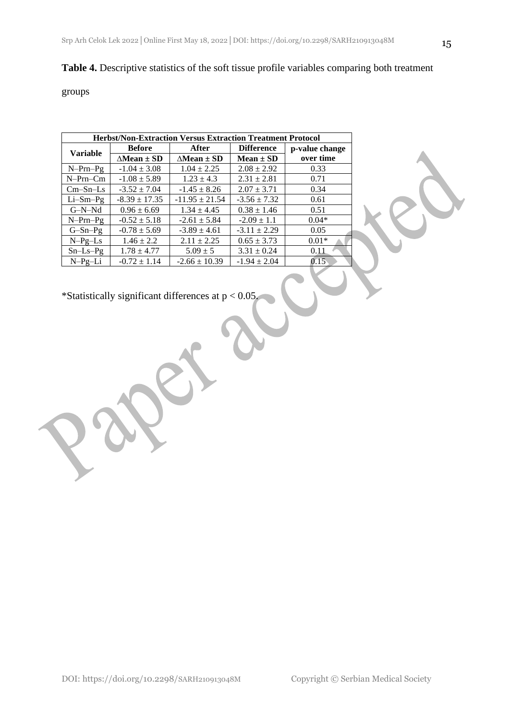### **Table 4.** Descriptive statistics of the soft tissue profile variables comparing both treatment

groups

| <b>Herbst/Non-Extraction Versus Extraction Treatment Protocol</b> |                           |                           |                   |                |  |  |
|-------------------------------------------------------------------|---------------------------|---------------------------|-------------------|----------------|--|--|
| <b>Variable</b>                                                   | <b>Before</b>             | After                     | <b>Difference</b> | p-value change |  |  |
|                                                                   | $\triangle$ Mean $\pm$ SD | $\triangle$ Mean $\pm$ SD | $Mean \pm SD$     | over time      |  |  |
| $N-Prn-Pg$                                                        | $-1.04 \pm 3.08$          | $1.04 \pm 2.25$           | $2.08 \pm 2.92$   | 0.33           |  |  |
| $N-Prn-Cm$                                                        | $-1.08 \pm 5.89$          | $1.23 \pm 4.3$            | $2.31 \pm 2.81$   | 0.71           |  |  |
| $Cm-Sn-Ls$                                                        | $-3.52 \pm 7.04$          | $-1.45 \pm 8.26$          | $2.07 \pm 3.71$   | 0.34           |  |  |
| $Li-Sm-Pg$                                                        | $-8.39 \pm 17.35$         | $-11.95 \pm 21.54$        | $-3.56 \pm 7.32$  | 0.61           |  |  |
| $G-N-Nd$                                                          | $0.96 \pm 6.69$           | $1.34 \pm 4.45$           | $0.38 \pm 1.46$   | 0.51           |  |  |
| $N-Prn-Pg$                                                        | $-0.52 \pm 5.18$          | $-2.61 \pm 5.84$          | $-2.09 \pm 1.1$   | $0.04*$        |  |  |
| $G-Sn-Pg$                                                         | $-0.78 \pm 5.69$          | $-3.89 \pm 4.61$          | $-3.11 \pm 2.29$  | 0.05           |  |  |
| $N-Pg-Ls$                                                         | $1.46 \pm 2.2$            | $2.11 \pm 2.25$           | $0.65 \pm 3.73$   | $0.01*$        |  |  |
| $Sn-Ls-Pg$                                                        | $1.78 \pm 4.77$           | $5.09 \pm 5$              | $3.31 \pm 0.24$   | 0.11           |  |  |
| $N-Pg-Li$                                                         | $-0.72 \pm 1.14$          | $-2.66 \pm 10.39$         | $-1.94 \pm 2.04$  | 0.15           |  |  |

\*Statistically significant differences at  $p < 0.05$ .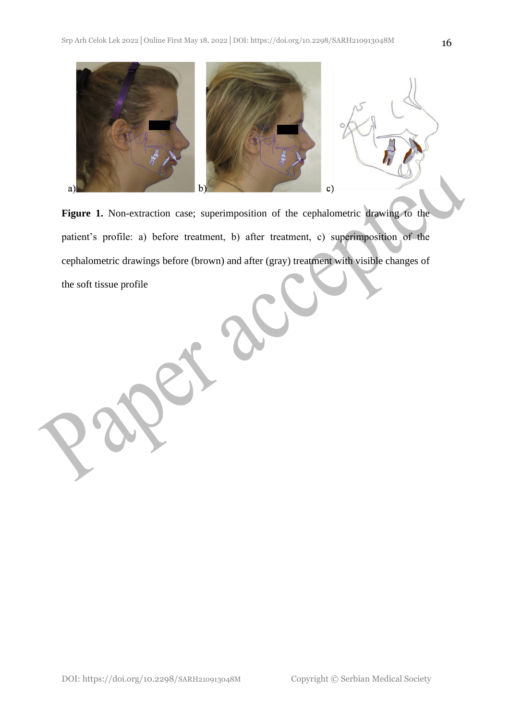

Figure 1. Non-extraction case; superimposition of the cephalometric drawing to the patient's profile: a) before treatment, b) after treatment, c) superimposition of the cephalometric drawings before (brown) and after (gray) treatment with visible changes of the soft tissue profile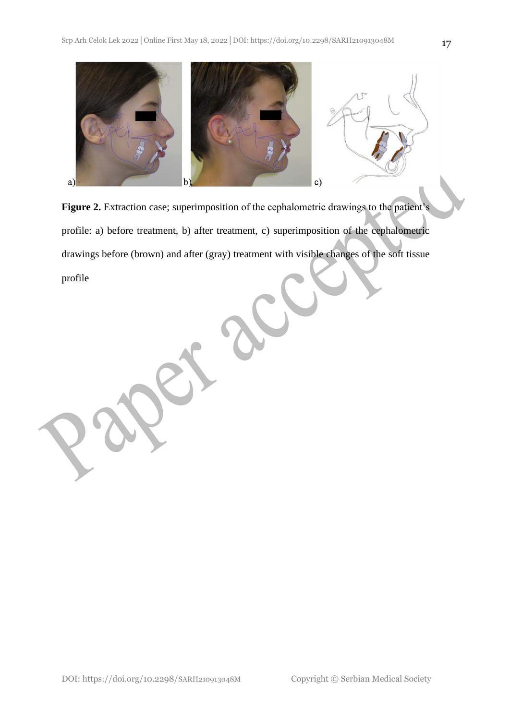

Figure 2. Extraction case; superimposition of the cephalometric drawings to the patient's profile: a) before treatment, b) after treatment, c) superimposition of the cephalometric drawings before (brown) and after (gray) treatment with visible changes of the soft tissue profile